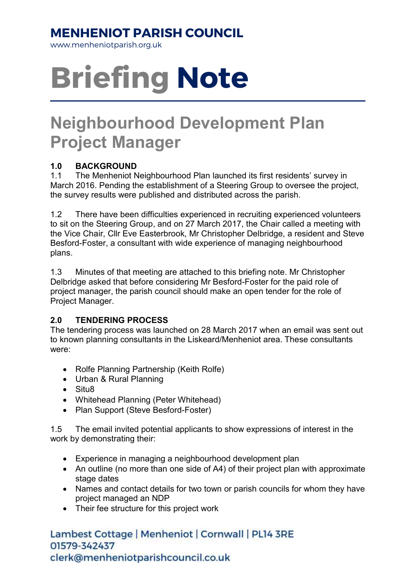### MENHENIOT PARISH COUNCIL

www.menheniotparish.org.uk

# Briefing Note

## Neighbourhood Development Plan Project Manager

#### 1.0 BACKGROUND

1.1 The Menheniot Neighbourhood Plan launched its first residents' survey in March 2016. Pending the establishment of a Steering Group to oversee the project, the survey results were published and distributed across the parish.

1.2 There have been difficulties experienced in recruiting experienced volunteers to sit on the Steering Group, and on 27 March 2017, the Chair called a meeting with the Vice Chair, Cllr Eve Easterbrook, Mr Christopher Delbridge, a resident and Steve Besford-Foster, a consultant with wide experience of managing neighbourhood plans.

1.3 Minutes of that meeting are attached to this briefing note. Mr Christopher Delbridge asked that before considering Mr Besford-Foster for the paid role of project manager, the parish council should make an open tender for the role of Project Manager.

#### 2.0 TENDERING PROCESS

The tendering process was launched on 28 March 2017 when an email was sent out to known planning consultants in the Liskeard/Menheniot area. These consultants were:

- Rolfe Planning Partnership (Keith Rolfe)
- Urban & Rural Planning
- Situ8
- Whitehead Planning (Peter Whitehead)
- Plan Support (Steve Besford-Foster)

1.5 The email invited potential applicants to show expressions of interest in the work by demonstrating their:

- Experience in managing a neighbourhood development plan
- An outline (no more than one side of A4) of their project plan with approximate stage dates
- Names and contact details for two town or parish councils for whom they have project managed an NDP
- Their fee structure for this project work

Lambest Cottage | Menheniot | Cornwall | PL14 3RE 01579-342437 clerk@menheniotparishcouncil.co.uk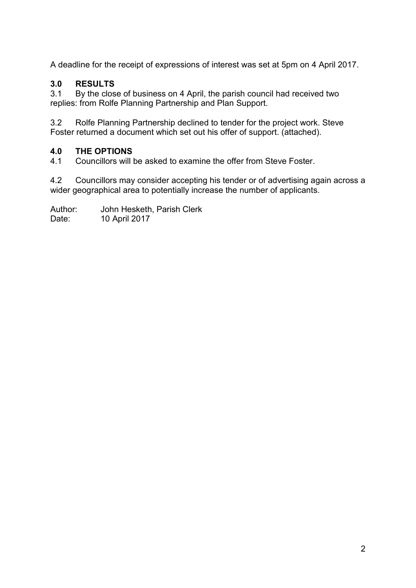A deadline for the receipt of expressions of interest was set at 5pm on 4 April 2017.

#### 3.0 RESULTS

3.1 By the close of business on 4 April, the parish council had received two replies: from Rolfe Planning Partnership and Plan Support.

3.2 Rolfe Planning Partnership declined to tender for the project work. Steve Foster returned a document which set out his offer of support. (attached).

#### 4.0 THE OPTIONS

4.1 Councillors will be asked to examine the offer from Steve Foster.

4.2 Councillors may consider accepting his tender or of advertising again across a wider geographical area to potentially increase the number of applicants.

Author: John Hesketh, Parish Clerk

Date: 10 April 2017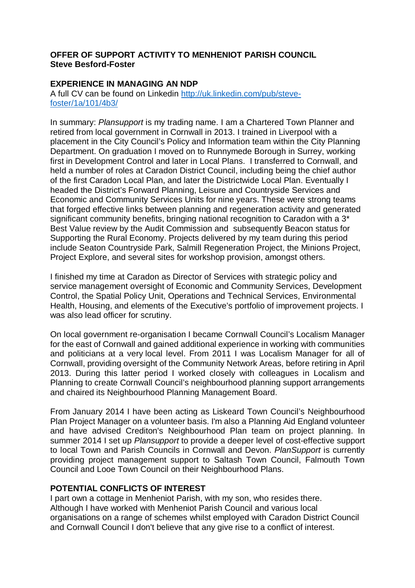#### **OFFER OF SUPPORT ACTIVITY TO MENHENIOT PARISH COUNCIL Steve Besford-Foster**

#### **EXPERIENCE IN MANAGING AN NDP**

A full CV can be found on Linkedin http://uk.linkedin.com/pub/stevefoster/1a/101/4b3/

In summary: Plansupport is my trading name. I am a Chartered Town Planner and retired from local government in Cornwall in 2013. I trained in Liverpool with a placement in the City Council's Policy and Information team within the City Planning Department. On graduation I moved on to Runnymede Borough in Surrey, working first in Development Control and later in Local Plans. I transferred to Cornwall, and held a number of roles at Caradon District Council, including being the chief author of the first Caradon Local Plan, and later the Districtwide Local Plan. Eventually I headed the District's Forward Planning, Leisure and Countryside Services and Economic and Community Services Units for nine years. These were strong teams that forged effective links between planning and regeneration activity and generated significant community benefits, bringing national recognition to Caradon with a 3<sup>\*</sup> Best Value review by the Audit Commission and subsequently Beacon status for Supporting the Rural Economy. Projects delivered by my team during this period include Seaton Countryside Park, Salmill Regeneration Project, the Minions Project, Project Explore, and several sites for workshop provision, amongst others.

I finished my time at Caradon as Director of Services with strategic policy and service management oversight of Economic and Community Services, Development Control, the Spatial Policy Unit, Operations and Technical Services, Environmental Health, Housing, and elements of the Executive's portfolio of improvement projects. I was also lead officer for scrutiny.

On local government re-organisation I became Cornwall Council's Localism Manager for the east of Cornwall and gained additional experience in working with communities and politicians at a very local level. From 2011 I was Localism Manager for all of Cornwall, providing oversight of the Community Network Areas, before retiring in April 2013. During this latter period I worked closely with colleagues in Localism and Planning to create Cornwall Council's neighbourhood planning support arrangements and chaired its Neighbourhood Planning Management Board.

From January 2014 I have been acting as Liskeard Town Council's Neighbourhood Plan Project Manager on a volunteer basis. I'm also a Planning Aid England volunteer and have advised Crediton's Neighbourhood Plan team on project planning. In summer 2014 I set up Plansupport to provide a deeper level of cost-effective support to local Town and Parish Councils in Cornwall and Devon. PlanSupport is currently providing project management support to Saltash Town Council, Falmouth Town Council and Looe Town Council on their Neighbourhood Plans.

#### **POTENTIAL CONFLICTS OF INTEREST**

I part own a cottage in Menheniot Parish, with my son, who resides there. Although I have worked with Menheniot Parish Council and various local organisations on a range of schemes whilst employed with Caradon District Council and Cornwall Council I don't believe that any give rise to a conflict of interest.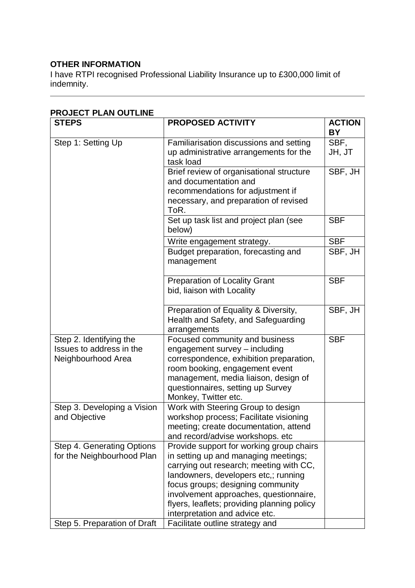#### **OTHER INFORMATION**

I have RTPI recognised Professional Liability Insurance up to £300,000 limit of indemnity.

| <b>STEPS</b>                                 | <b>PROPOSED ACTIVITY</b>                                                                    | <b>ACTION</b><br><b>BY</b>     |
|----------------------------------------------|---------------------------------------------------------------------------------------------|--------------------------------|
| Step 1: Setting Up                           | Familiarisation discussions and setting<br>up administrative arrangements for the           | SBF,<br>JH, JT                 |
|                                              | task load                                                                                   |                                |
|                                              | Brief review of organisational structure                                                    | $\overline{\mathsf{SBF}}$ , JH |
|                                              | and documentation and<br>recommendations for adjustment if                                  |                                |
|                                              | necessary, and preparation of revised<br>ToR.                                               |                                |
|                                              | Set up task list and project plan (see<br>below)                                            | <b>SBF</b>                     |
|                                              | Write engagement strategy.                                                                  | <b>SBF</b>                     |
|                                              | Budget preparation, forecasting and<br>management                                           | SBF, JH                        |
|                                              | <b>Preparation of Locality Grant</b><br>bid, liaison with Locality                          | <b>SBF</b>                     |
|                                              | Preparation of Equality & Diversity,<br>Health and Safety, and Safeguarding<br>arrangements | SBF, JH                        |
| Step 2. Identifying the                      | Focused community and business                                                              | <b>SBF</b>                     |
| Issues to address in the                     | engagement survey - including                                                               |                                |
| Neighbourhood Area                           | correspondence, exhibition preparation,<br>room booking, engagement event                   |                                |
|                                              | management, media liaison, design of                                                        |                                |
|                                              | questionnaires, setting up Survey                                                           |                                |
|                                              | Monkey, Twitter etc.                                                                        |                                |
| Step 3. Developing a Vision<br>and Objective | Work with Steering Group to design<br>workshop process; Facilitate visioning                |                                |
|                                              | meeting; create documentation, attend                                                       |                                |
|                                              | and record/advise workshops. etc                                                            |                                |
| Step 4. Generating Options                   | Provide support for working group chairs                                                    |                                |
| for the Neighbourhood Plan                   | in setting up and managing meetings;                                                        |                                |
|                                              | carrying out research; meeting with CC,                                                     |                                |
|                                              | landowners, developers etc,; running<br>focus groups; designing community                   |                                |
|                                              | involvement approaches, questionnaire,                                                      |                                |
|                                              | flyers, leaflets; providing planning policy                                                 |                                |
|                                              | interpretation and advice etc.                                                              |                                |
| Step 5. Preparation of Draft                 | Facilitate outline strategy and                                                             |                                |

#### **PROJECT PLAN OUTLINE**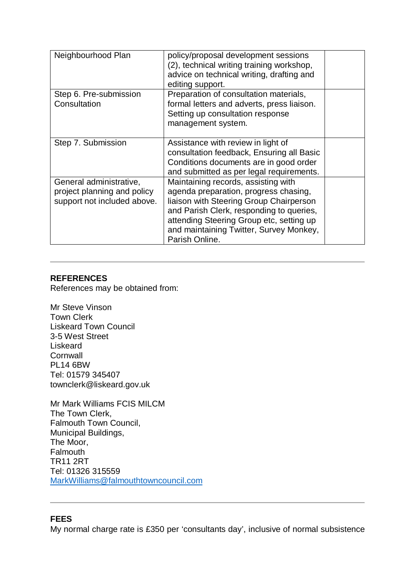| Neighbourhood Plan                                                                    | policy/proposal development sessions<br>(2), technical writing training workshop,<br>advice on technical writing, drafting and<br>editing support.                                                                                                                           |  |
|---------------------------------------------------------------------------------------|------------------------------------------------------------------------------------------------------------------------------------------------------------------------------------------------------------------------------------------------------------------------------|--|
| Step 6. Pre-submission<br>Consultation                                                | Preparation of consultation materials,<br>formal letters and adverts, press liaison.<br>Setting up consultation response<br>management system.                                                                                                                               |  |
| Step 7. Submission                                                                    | Assistance with review in light of<br>consultation feedback, Ensuring all Basic<br>Conditions documents are in good order<br>and submitted as per legal requirements.                                                                                                        |  |
| General administrative,<br>project planning and policy<br>support not included above. | Maintaining records, assisting with<br>agenda preparation, progress chasing,<br>liaison with Steering Group Chairperson<br>and Parish Clerk, responding to queries,<br>attending Steering Group etc, setting up<br>and maintaining Twitter, Survey Monkey,<br>Parish Online. |  |

#### **REFERENCES**

References may be obtained from:

Mr Steve Vinson Town Clerk Liskeard Town Council 3-5 West Street Liskeard **Cornwall** PL14 6BW Tel: 01579 345407 townclerk@liskeard.gov.uk

Mr Mark Williams FCIS MILCM The Town Clerk, Falmouth Town Council, Municipal Buildings, The Moor, Falmouth TR11 2RT Tel: 01326 315559 MarkWilliams@falmouthtowncouncil.com

#### **FEES**

My normal charge rate is £350 per 'consultants day', inclusive of normal subsistence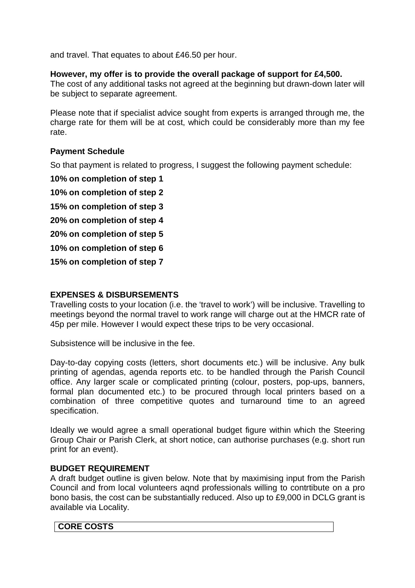and travel. That equates to about £46.50 per hour.

#### **However, my offer is to provide the overall package of support for £4,500.**

The cost of any additional tasks not agreed at the beginning but drawn-down later will be subject to separate agreement.

Please note that if specialist advice sought from experts is arranged through me, the charge rate for them will be at cost, which could be considerably more than my fee rate.

#### **Payment Schedule**

So that payment is related to progress, I suggest the following payment schedule:

**10% on completion of step 1** 

**10% on completion of step 2** 

**15% on completion of step 3** 

**20% on completion of step 4** 

**20% on completion of step 5** 

**10% on completion of step 6** 

**15% on completion of step 7** 

#### **EXPENSES & DISBURSEMENTS**

Travelling costs to your location (i.e. the 'travel to work') will be inclusive. Travelling to meetings beyond the normal travel to work range will charge out at the HMCR rate of 45p per mile. However I would expect these trips to be very occasional.

Subsistence will be inclusive in the fee.

Day-to-day copying costs (letters, short documents etc.) will be inclusive. Any bulk printing of agendas, agenda reports etc. to be handled through the Parish Council office. Any larger scale or complicated printing (colour, posters, pop-ups, banners, formal plan documented etc.) to be procured through local printers based on a combination of three competitive quotes and turnaround time to an agreed specification.

Ideally we would agree a small operational budget figure within which the Steering Group Chair or Parish Clerk, at short notice, can authorise purchases (e.g. short run print for an event).

#### **BUDGET REQUIREMENT**

A draft budget outline is given below. Note that by maximising input from the Parish Council and from local volunteers aqnd professionals willing to contrtibute on a pro bono basis, the cost can be substantially reduced. Also up to £9,000 in DCLG grant is available via Locality.

#### **CORE COSTS**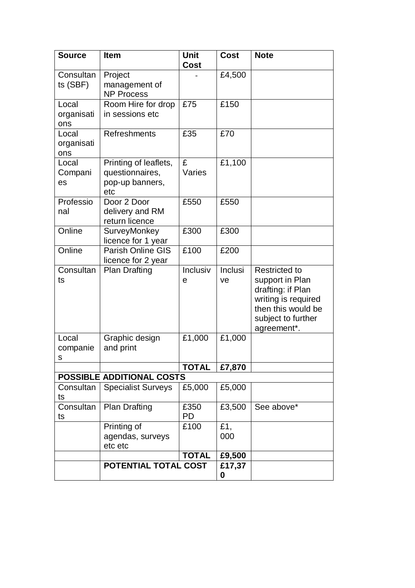| <b>Source</b>              | <b>Item</b>                                                        | <b>Unit</b><br><b>Cost</b> | <b>Cost</b>          | <b>Note</b>                                                                                                                                    |
|----------------------------|--------------------------------------------------------------------|----------------------------|----------------------|------------------------------------------------------------------------------------------------------------------------------------------------|
| Consultan<br>ts (SBF)      | Project<br>management of<br><b>NP Process</b>                      |                            | £4,500               |                                                                                                                                                |
| Local<br>organisati<br>ons | Room Hire for drop<br>in sessions etc                              | £75                        | £150                 |                                                                                                                                                |
| Local<br>organisati<br>ons | <b>Refreshments</b>                                                | £35                        | £70                  |                                                                                                                                                |
| Local<br>Compani<br>es     | Printing of leaflets,<br>questionnaires,<br>pop-up banners,<br>etc | £<br>Varies                | £1,100               |                                                                                                                                                |
| Professio<br>nal           | Door 2 Door<br>delivery and RM<br>return licence                   | £550                       | £550                 |                                                                                                                                                |
| Online                     | SurveyMonkey<br>licence for 1 year                                 | £300                       | £300                 |                                                                                                                                                |
| Online                     | <b>Parish Online GIS</b><br>licence for 2 year                     | £100                       | £200                 |                                                                                                                                                |
| Consultan<br>ts            | <b>Plan Drafting</b>                                               | Inclusiv<br>e              | <b>Inclusi</b><br>ve | <b>Restricted to</b><br>support in Plan<br>drafting: if Plan<br>writing is required<br>then this would be<br>subject to further<br>agreement*. |
| Local<br>companie<br>S     | Graphic design<br>and print                                        | £1,000                     | £1,000               |                                                                                                                                                |
|                            |                                                                    | <b>TOTAL</b>               | £7,870               |                                                                                                                                                |
|                            | <b>POSSIBLE ADDITIONAL COSTS</b>                                   |                            |                      |                                                                                                                                                |
| Consultan<br>ts            | <b>Specialist Surveys</b>                                          | £5,000                     | £5,000               |                                                                                                                                                |
| Consultan<br>ts            | <b>Plan Drafting</b>                                               | £350<br>PD                 | £3,500               | See above*                                                                                                                                     |
|                            | Printing of<br>agendas, surveys<br>etc etc                         | £100                       | £1,<br>000           |                                                                                                                                                |
|                            |                                                                    | <b>TOTAL</b>               | £9,500               |                                                                                                                                                |
|                            | POTENTIAL TOTAL COST                                               |                            | £17,37<br>0          |                                                                                                                                                |